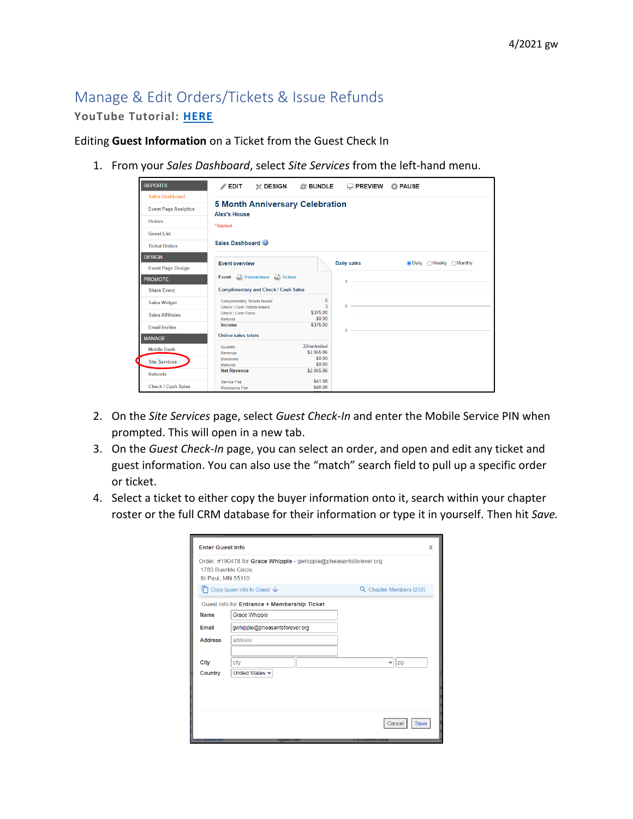## Manage & Edit Orders/Tickets & Issue Refunds **YouTube Tutorial: [HERE](https://youtu.be/zn-qeKAayNw)**

Editing **Guest Information** on a Ticket from the Guest Check In

1. From your *Sales Dashboard*, select *Site Services* from the left-hand menu.

| <b>REPORTS</b>              | $\mathbb X$ DESIGN<br>$\mathscr{P}$ EDIT                           | 窓 BUNDLE                   | $\Box$ PREVIEW | <b>CD PAUSE</b>                |
|-----------------------------|--------------------------------------------------------------------|----------------------------|----------------|--------------------------------|
| <b>Sales Dashboard</b>      |                                                                    |                            |                |                                |
| <b>Event Page Analytics</b> | <b>5 Month Anniversary Celebration</b><br><b>Alex's House</b>      |                            |                |                                |
| Orders                      | *Started                                                           |                            |                |                                |
| <b>Guest List</b>           |                                                                    |                            |                |                                |
| <b>Ticket Orders</b>        | Sales Dashboard                                                    |                            |                |                                |
| <b>DESIGN</b>               |                                                                    |                            |                |                                |
| <b>Event Page Design</b>    | <b>Event overview</b>                                              |                            | Daily sales    | <b>ODaily</b> OWeekly OMonthly |
| <b>PROMOTE</b>              | Event: Evansactions Evansets                                       |                            | $\mathbf{1}$   |                                |
| <b>Share Event</b>          | <b>Complimentary and Check / Cash Sales</b>                        |                            |                |                                |
| <b>Sales Widget</b>         | <b>Complimentary Tickets Issued</b><br>Check / Cash Tickets Issued | 0<br>3                     | n              |                                |
| <b>Sales Affiliates</b>     | Check / Cash Sales<br>Refunds                                      | \$375.00<br>\$0.00         |                |                                |
| <b>Email Invites</b>        | Income                                                             | \$375.00                   | $-1 -$         |                                |
| <b>MANAGE</b>               | Online sales totals                                                |                            |                |                                |
| <b>Mobile Dash</b>          | Quantity<br>Revenue                                                | 22/unlimited<br>\$2,065.86 |                |                                |
| <b>Site Services</b>        | <b>Donations</b><br>Refunds                                        | \$0.00<br>\$0.00           |                |                                |
| <b>Refunds</b>              | <b>Net Revenue</b>                                                 | \$2.065.86                 |                |                                |
| Check / Cash Sales          | Service Fee<br><b>Processing Fee</b>                               | \$41.98<br>\$46.06         |                |                                |

- 2. On the *Site Services* page, select *Guest Check-In* and enter the Mobile Service PIN when prompted. This will open in a new tab.
- 3. On the *Guest Check-In* page, you can select an order, and open and edit any ticket and guest information. You can also use the "match" search field to pull up a specific order or ticket.
- 4. Select a ticket to either copy the buyer information onto it, search within your chapter roster or the full CRM database for their information or type it in yourself. Then hit *Save.*

| <b>Enter Guest Info</b>                  |                                                                  | X                          |  |
|------------------------------------------|------------------------------------------------------------------|----------------------------|--|
| 1783 Buerkle Circle<br>St Paul, MN 55110 | Order: #190478 for Grace Whipple - gwhipple@pheasantsforever.org |                            |  |
|                                          | $\Box$ Copy buyer info to Guest $\downarrow$                     | Q Chapter Members (250)    |  |
|                                          | Guest Info for Entrance + Membership Ticket                      |                            |  |
| <b>Name</b>                              | <b>Grace Whipple</b>                                             |                            |  |
| Email                                    | gwhipple@pheasantsforever.org                                    |                            |  |
| <b>Address</b>                           | address                                                          |                            |  |
|                                          |                                                                  |                            |  |
| City                                     | city                                                             | zip<br>$\checkmark$        |  |
| Country                                  | United States v                                                  |                            |  |
|                                          |                                                                  |                            |  |
|                                          |                                                                  |                            |  |
|                                          |                                                                  |                            |  |
|                                          |                                                                  | Cancel<br>Save             |  |
|                                          | cratake.com                                                      | <b>1783 BUEFKIE CIFCIE</b> |  |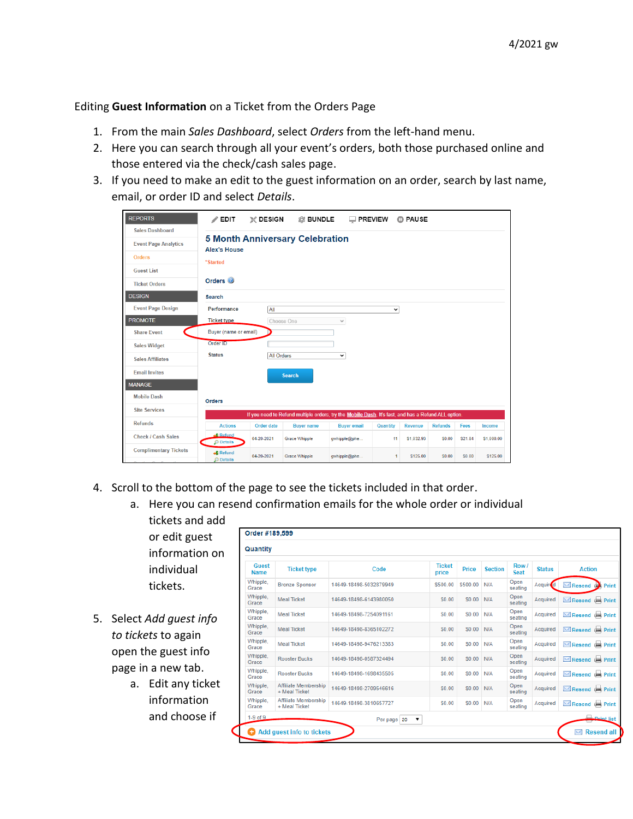## Editing **Guest Information** on a Ticket from the Orders Page

- 1. From the main *Sales Dashboard*, select *Orders* from the left-hand menu.
- 2. Here you can search through all your event's orders, both those purchased online and those entered via the check/cash sales page.
- 3. If you need to make an edit to the guest information on an order, search by last name, email, or order ID and select *Details*.

| <b>REPORTS</b>                    | $\triangle$ EDIT                     | $\mathbb{X}$ design | <b>® BUNDLE</b>                        | $\Box$ PREVIEW                                                                                      |              | <b>CD PAUSE</b> |                |         |            |
|-----------------------------------|--------------------------------------|---------------------|----------------------------------------|-----------------------------------------------------------------------------------------------------|--------------|-----------------|----------------|---------|------------|
| <b>Sales Dashboard</b>            |                                      |                     |                                        |                                                                                                     |              |                 |                |         |            |
| <b>Event Page Analytics</b>       | <b>Alex's House</b>                  |                     | <b>5 Month Anniversary Celebration</b> |                                                                                                     |              |                 |                |         |            |
| <b>Orders</b>                     | *Started                             |                     |                                        |                                                                                                     |              |                 |                |         |            |
| <b>Guest List</b>                 |                                      |                     |                                        |                                                                                                     |              |                 |                |         |            |
| <b>Ticket Orders</b>              | Orders <sup>O</sup>                  |                     |                                        |                                                                                                     |              |                 |                |         |            |
| <b>DESIGN</b>                     | <b>Search</b>                        |                     |                                        |                                                                                                     |              |                 |                |         |            |
| <b>Event Page Design</b>          | Performance                          | All                 |                                        |                                                                                                     | $\check{~}$  |                 |                |         |            |
| <b>PROMOTE</b>                    | <b>Ticket type</b>                   |                     | Choose One                             | $\checkmark$                                                                                        |              |                 |                |         |            |
| <b>Share Event</b>                | Buyer (name or email)                |                     |                                        |                                                                                                     |              |                 |                |         |            |
| <b>Sales Widget</b>               | Order ID                             |                     |                                        |                                                                                                     |              |                 |                |         |            |
| <b>Sales Affiliates</b>           | <b>Status</b>                        | <b>All Orders</b>   |                                        | $\check{~}$                                                                                         |              |                 |                |         |            |
| <b>Email Invites</b>              |                                      |                     | <b>Search</b>                          |                                                                                                     |              |                 |                |         |            |
| <b>MANAGE</b>                     |                                      |                     |                                        |                                                                                                     |              |                 |                |         |            |
| <b>Mobile Dash</b>                | <b>Orders</b>                        |                     |                                        |                                                                                                     |              |                 |                |         |            |
| <b>Site Services</b>              |                                      |                     |                                        | If you need to Refund multiple orders, try the Mobile Dash. It's fast, and has a Refund ALL option. |              |                 |                |         |            |
| <b>Refunds</b>                    | <b>Actions</b>                       | <b>Order date</b>   | <b>Buyer name</b>                      | <b>Buyer email</b>                                                                                  | Quantity     | <b>Revenue</b>  | <b>Refunds</b> | Fees    | Income     |
| Check / Cash Sales                | <b>46</b> Refund<br>$\Omega$ Details | 04-20-2021          | <b>Grace Whipple</b>                   | gwhipple@phe                                                                                        | 11           | \$1,032.93      | S0.00          | \$21.84 | \$1,000.00 |
| <b>Complimentary Tickets</b><br>. | «\$ Refund<br>$\Omega$ Details       | 04-20-2021          | <b>Grace Whipple</b>                   | qwhipple@phe                                                                                        | $\mathbf{1}$ | \$125.00        | S0.00          | \$0.00  | \$125.00   |

- 4. Scroll to the bottom of the page to see the tickets included in that order.
	- a. Here you can resend confirmation emails for the whole order or individual
		- tickets and add or edit guest information on individual tickets.
- 5. Select *Add guest info to tickets* to again open the guest info page in a new tab.
	- a. Edit any ticket information and choose if

| Quantity             |                                              |                        |                        |          |                |                     |                 |                                                       |
|----------------------|----------------------------------------------|------------------------|------------------------|----------|----------------|---------------------|-----------------|-------------------------------------------------------|
| Guest<br><b>Name</b> | <b>Ticket type</b>                           | Code                   | <b>Ticket</b><br>price | Price    | <b>Section</b> | Row/<br><b>Seat</b> | <b>Status</b>   | <b>Action</b>                                         |
| Whipple.<br>Grace    | <b>Bronze Sponsor</b>                        | 14649-18498-5032879949 | \$500.00               | \$500.00 | N/A            | Open<br>seating     | <b>Acquired</b> | $\boxtimes$ Resend $\qquad \qquad \bigoplus$<br>Print |
| Whipple,<br>Grace    | <b>Meal Ticket</b>                           | 14649-18498-6143980050 | \$0.00                 | \$0.00   | N/A            | Open<br>seating     | Acquired        | Resend to Print                                       |
| Whipple.<br>Grace    | <b>Meal Ticket</b>                           | 14649-18498-7254091161 | S0.00                  | \$0.00   | N/A            | Open<br>seating     | Acquired        | Resend <b>Print</b>                                   |
| Whipple.<br>Grace    | <b>Meal Ticket</b>                           | 14649-18498-8365102272 | \$0.00                 | \$0.00   | N/A            | Open<br>seating     | Acquired        | Resend to Print                                       |
| Whipple.<br>Grace    | <b>Meal Ticket</b>                           | 14649-18498-9476213383 | \$0.00                 | \$0.00   | N/A            | Open<br>seating     | Acquired        | Resend to Print                                       |
| Whipple,<br>Grace    | <b>Rooster Bucks</b>                         | 14649-18498-0587324494 | \$0.00                 | \$0.00   | N/A            | Open<br>seating     | Acquired        | Resend to Print                                       |
| Whipple.<br>Grace    | Rooster Bucks                                | 14649-18498-1698435505 | \$0.00                 | S0 00    | N/A            | Open<br>seating     | Acquired        | Resend to Print                                       |
| Whipple,<br>Grace    | Affiliate Membership<br>+ Meal Ticket        | 14649-18498-2709546616 | S0.00                  | \$0.00   | N/A            | Open<br>seating     | Acquired        | Resend de Print                                       |
| Whipple.<br>Grace    | <b>Affiliate Membership</b><br>+ Meal Ticket | 14649-18498-3810657727 | \$0.00                 | \$0.00   | N/A            | Open<br>seating     | Acquired        | Resend to Print                                       |
| $1-9$ of $9$         |                                              | 7<br>Per page   20     |                        |          |                |                     |                 | Drint list                                            |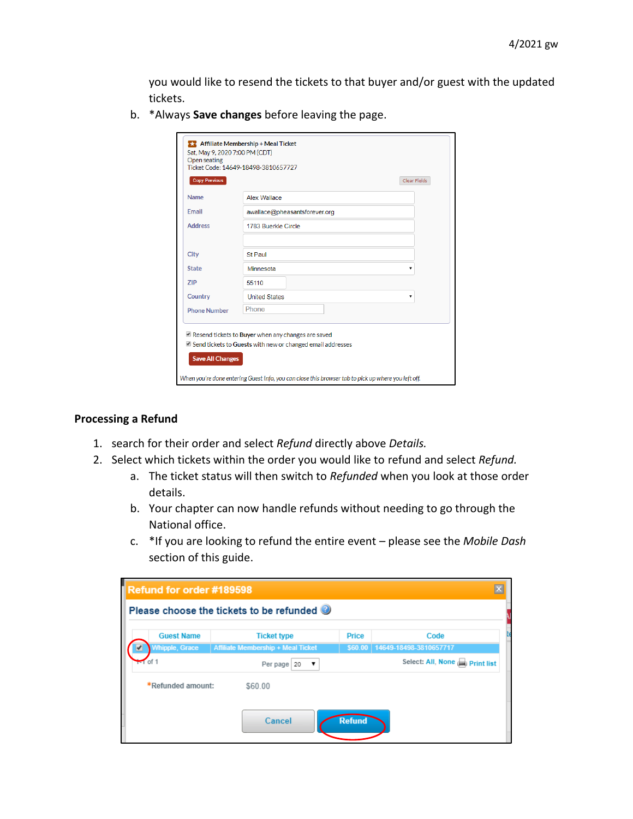you would like to resend the tickets to that buyer and/or guest with the updated tickets.

b. \*Always **Save changes** before leaving the page.

| <b>Name</b>         |                               |
|---------------------|-------------------------------|
|                     | Alex Wallace                  |
| Email               | awallace@pheasantsforever.org |
| <b>Address</b>      | 1783 Buerkle Circle           |
|                     |                               |
| City                | <b>St Paul</b>                |
| <b>State</b>        | Minnesota                     |
| <b>ZIP</b>          | 55110                         |
| Country             | <b>United States</b><br>۳.    |
| <b>Phone Number</b> | Phone                         |

## **Processing a Refund**

- 1. search for their order and select *Refund* directly above *Details.*
- 2. Select which tickets within the order you would like to refund and select *Refund.* 
	- a. The ticket status will then switch to *Refunded* when you look at those order details.
	- b. Your chapter can now handle refunds without needing to go through the National office.
	- c. \*If you are looking to refund the entire event please see the *Mobile Dash* section of this guide.

| Refund for order #189598           |                   |                                                               |               |                                                                    |  |
|------------------------------------|-------------------|---------------------------------------------------------------|---------------|--------------------------------------------------------------------|--|
|                                    |                   | Please choose the tickets to be refunded                      |               |                                                                    |  |
|                                    | <b>Guest Name</b> | <b>Ticket type</b>                                            | <b>Price</b>  | Code                                                               |  |
| <b>Whipple, Grace</b><br>$-1$ of 1 |                   | <b>Affiliate Membership + Meal Ticket</b><br>Per page 20<br>▼ |               | \$60.00   14649-18498-3810657717<br>Select: All, None ( Print list |  |
| *Refunded amount:                  |                   | \$60.00                                                       |               |                                                                    |  |
|                                    |                   | Cancel                                                        | <b>Refund</b> |                                                                    |  |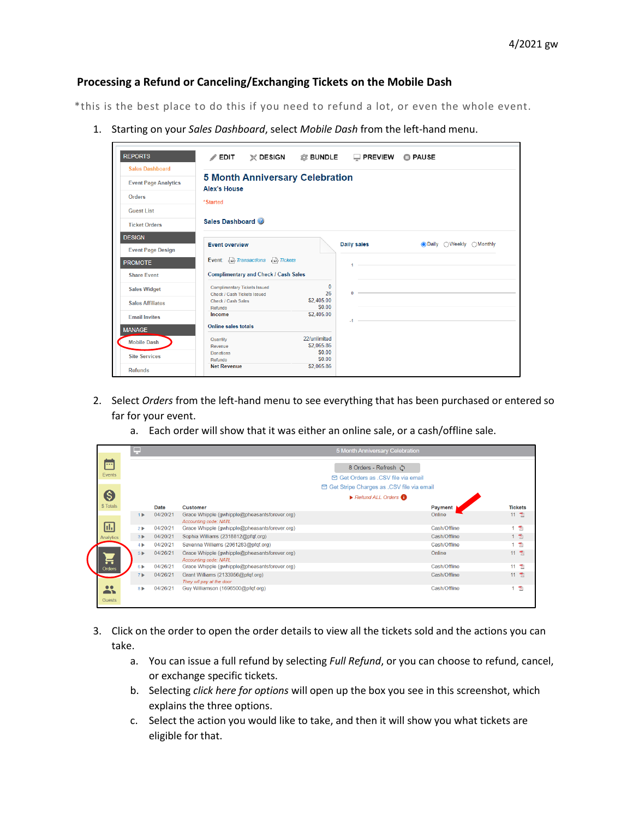## **Processing a Refund or Canceling/Exchanging Tickets on the Mobile Dash**

\*this is the best place to do this if you need to refund a lot, or even the whole event.

1. Starting on your *Sales Dashboard*, select *Mobile Dash* from the left-hand menu.

| <b>Sales Dashboard</b>      | <b>5 Month Anniversary Celebration</b>                              |                            |             |                                  |
|-----------------------------|---------------------------------------------------------------------|----------------------------|-------------|----------------------------------|
| <b>Event Page Analytics</b> | <b>Alex's House</b>                                                 |                            |             |                                  |
| Orders                      | *Started                                                            |                            |             |                                  |
| Guest List                  |                                                                     |                            |             |                                  |
| <b>Ticket Orders</b>        | Sales Dashboard                                                     |                            |             |                                  |
| <b>DESIGN</b>               | <b>Event overview</b>                                               |                            | Daily sales | <b>ODaily</b> ○ Weekly ○ Monthly |
| <b>Event Page Design</b>    |                                                                     |                            |             |                                  |
| <b>PROMOTE</b>              | Event: $\epsilon_{\rm sc}$ Transactions $\epsilon_{\rm sc}$ Tickets |                            |             |                                  |
| <b>Share Event</b>          | <b>Complimentary and Check / Cash Sales</b>                         |                            |             |                                  |
| <b>Sales Widget</b>         | <b>Complimentary Tickets Issued</b><br>Check / Cash Tickets Issued  | $\mathbf{0}$<br>26         | $\Omega$    |                                  |
| <b>Sales Affiliates</b>     | Check / Cash Sales<br>Refunds                                       | \$2,405.00<br>\$0.00       |             |                                  |
| <b>Email Invites</b>        | Income                                                              | \$2,405.00                 | $-1 -$      |                                  |
| <b>MANAGE</b>               | <b>Online sales totals</b>                                          |                            |             |                                  |
| <b>Mobile Dash</b>          | Quantity<br>Revenue                                                 | 22/unlimited<br>\$2,065.86 |             |                                  |
| <b>Site Services</b>        | <b>Donations</b>                                                    | \$0.00                     |             |                                  |
| <b>Refunds</b>              | Refunds<br><b>Net Revenue</b>                                       | \$0.00<br>\$2,065.86       |             |                                  |
|                             |                                                                     |                            |             |                                  |

- 2. Select *Orders* from the left-hand menu to see everything that has been purchased or entered so far for your event.
	- a. Each order will show that it was either an online sale, or a cash/offline sale.

|                                                               | ٣                       |          |                                                                        | 5 Month Anniversary Celebration                             |              |                          |
|---------------------------------------------------------------|-------------------------|----------|------------------------------------------------------------------------|-------------------------------------------------------------|--------------|--------------------------|
| ш<br>Events                                                   |                         |          |                                                                        | 8 Orders - Refresh ①<br>□ Get Orders as .CSV file via email |              |                          |
|                                                               |                         |          |                                                                        | <b>⊠ Get Stripe Charges as .CSV file via email</b>          |              |                          |
| G                                                             |                         |          |                                                                        | $\triangleright$ Refund ALL Orders                          |              |                          |
| \$ Totals                                                     |                         | Date     | <b>Customer</b>                                                        |                                                             | Payment      | <b>Tickets</b>           |
|                                                               | 1 <sub>b</sub>          | 04/20/21 | Grace Whipple (gwhipple@pheasantsforever.org)<br>Accounting code: NATL |                                                             | Online       | 11 飞                     |
| ШЩ                                                            | 2P                      | 04/20/21 | Grace Whipple (gwhipple@pheasantsforever.org)                          |                                                             | Cash/Offline | $\overline{\mathcal{P}}$ |
| Analytics                                                     | $3 \blacktriangleright$ | 04/20/21 | Sophia Williams (2318812@pfqf.org)                                     |                                                             | Cash/Offline | 1 区                      |
|                                                               | $4 \blacktriangleright$ | 04/20/21 | Savanna Williams (2061283@pfqf.org)                                    |                                                             | Cash/Offline | 1 页                      |
|                                                               | 5 <sub>b</sub>          | 04/26/21 | Grace Whipple (gwhipple@pheasantsforever.org)<br>Accounting code: NATL |                                                             | Online       | 11 区                     |
| Orders                                                        | 6P                      | 04/26/21 | Grace Whipple (gwhipple@pheasantsforever.org)                          |                                                             | Cash/Offline | 11 天                     |
|                                                               | 7 <sub>b</sub>          | 04/26/21 | Grant Williams (2133956@pfqf.org)<br>They wll pay at the door          |                                                             | Cash/Offline | 11 飞                     |
| $\bullet\bullet$<br>$\overline{\phantom{a}}$<br><b>Guests</b> | 8F                      | 04/26/21 | Guy Williamson (1696500@pfqf.org)                                      |                                                             | Cash/Offline | 大                        |

- 3. Click on the order to open the order details to view all the tickets sold and the actions you can take.
	- a. You can issue a full refund by selecting *Full Refund*, or you can choose to refund, cancel, or exchange specific tickets.
	- b. Selecting *click here for options* will open up the box you see in this screenshot, which explains the three options.
	- c. Select the action you would like to take, and then it will show you what tickets are eligible for that.